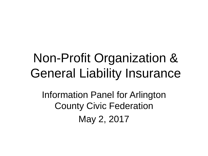## Non-Profit Organization & General Liability Insurance

Information Panel for Arlington County Civic Federation May 2, 2017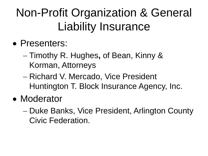#### Non-Profit Organization & General Liability Insurance

- Presenters:
	- − Timothy R. Hughes**,** of Bean, Kinny & Korman, Attorneys
	- − Richard V. Mercado, Vice President Huntington T. Block Insurance Agency, Inc.
- Moderator
	- − Duke Banks, Vice President, Arlington County Civic Federation.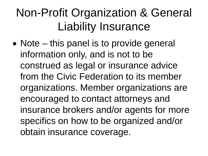#### Non-Profit Organization & General Liability Insurance

• Note – this panel is to provide general information only, and is not to be construed as legal or insurance advice from the Civic Federation to its member organizations. Member organizations are encouraged to contact attorneys and insurance brokers and/or agents for more specifics on how to be organized and/or obtain insurance coverage.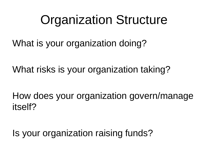#### Organization Structure

What is your organization doing?

What risks is your organization taking?

How does your organization govern/manage itself?

Is your organization raising funds?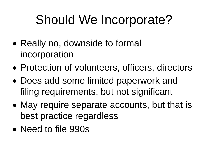## Should We Incorporate?

- Really no, downside to formal incorporation
- Protection of volunteers, officers, directors
- Does add some limited paperwork and filing requirements, but not significant
- May require separate accounts, but that is best practice regardless
- Need to file 990s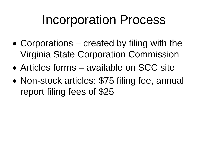#### Incorporation Process

- Corporations created by filing with the Virginia State Corporation Commission
- Articles forms available on SCC site
- Non-stock articles: \$75 filing fee, annual report filing fees of \$25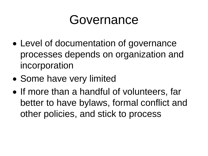#### Governance

- Level of documentation of governance processes depends on organization and incorporation
- Some have very limited
- If more than a handful of volunteers, far better to have bylaws, formal conflict and other policies, and stick to process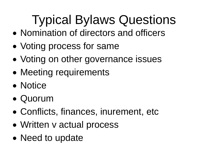# Typical Bylaws Questions

- Nomination of directors and officers
- Voting process for same
- Voting on other governance issues
- Meeting requirements
- Notice
- Quorum
- Conflicts, finances, inurement, etc
- Written **v** actual process
- Need to update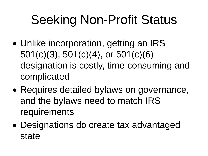# Seeking Non-Profit Status

- Unlike incorporation, getting an IRS 501(c)(3), 501(c)(4), or 501(c)(6) designation is costly, time consuming and complicated
- Requires detailed bylaws on governance, and the bylaws need to match IRS requirements
- Designations do create tax advantaged state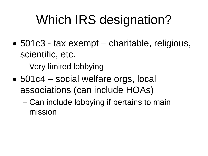## Which IRS designation?

• 501c3 - tax exempt – charitable, religious, scientific, etc.

− Very limited lobbying

- 501c4 social welfare orgs, local associations (can include HOAs)
	- − Can include lobbying if pertains to main mission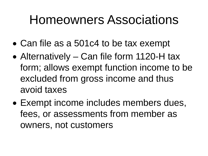#### Homeowners Associations

- Can file as a 501c4 to be tax exempt
- Alternatively Can file form 1120-H tax form; allows exempt function income to be excluded from gross income and thus avoid taxes
- Exempt income includes members dues, fees, or assessments from member as owners, not customers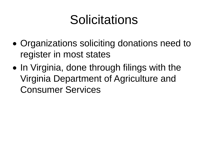## **Solicitations**

- Organizations soliciting donations need to register in most states
- In Virginia, done through filings with the Virginia Department of Agriculture and Consumer Services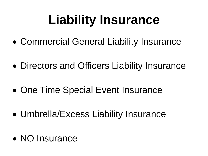# **Liability Insurance**

- Commercial General Liability Insurance
- Directors and Officers Liability Insurance
- One Time Special Event Insurance
- Umbrella/Excess Liability Insurance
- NO Insurance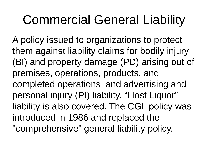## Commercial General Liability

A policy issued to organizations to protect them against liability claims for bodily injury (BI) and property damage (PD) arising out of premises, operations, products, and completed operations; and advertising and personal injury (PI) liability. "Host Liquor" liability is also covered. The CGL policy was introduced in 1986 and replaced the "comprehensive" general liability policy.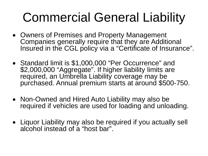# Commercial General Liability

- Owners of Premises and Property Management Companies generally require that they are Additional Insured in the CGL policy via a "Certificate of Insurance".
- Standard limit is \$1,000,000 "Per Occurrence" and \$2,000,000 "Aggregate". If higher liability limits are required, an Umbrella Liability coverage may be purchased. Annual premium starts at around \$500-750.
- Non-Owned and Hired Auto Liability may also be required if vehicles are used for loading and unloading.
- Liquor Liability may also be required if you actually sell alcohol instead of a "host bar".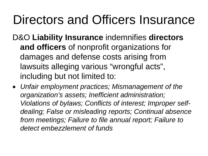### Directors and Officers Insurance

- D&O **Liability Insurance** indemnifies **directors and officers** of nonprofit organizations for damages and defense costs arising from lawsuits alleging various "wrongful acts", including but not limited to:
- *Unfair employment practices; Mismanagement of the organization's assets; Inefficient administration; Violations of bylaws; Conflicts of interest; Improper selfdealing; False or misleading reports; Continual absence from meetings; Failure to file annual report; Failure to detect embezzlement of funds*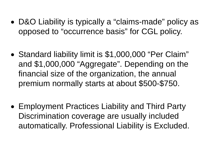- D&O Liability is typically a "claims-made" policy as opposed to "occurrence basis" for CGL policy.
- Standard liability limit is \$1,000,000 "Per Claim" and \$1,000,000 "Aggregate". Depending on the financial size of the organization, the annual premium normally starts at about \$500-\$750.
- Employment Practices Liability and Third Party Discrimination coverage are usually included automatically. Professional Liability is Excluded.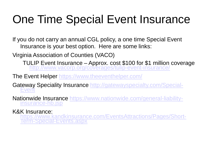#### <span id="page-17-0"></span>One Time Special Event Insurance

If you do not carry an annual CGL policy, a one time Special Event Insurance is your best option. Here are some links:

Virginia Association of Counties (VACO)

TULIP Event Insurance – [Approx. cost \\$100 for \\$1 million](http://www.vacorp.org/coverages/tulip-event-insurance/) coverage <http://www.vacorp.org/coverages/tulip-event-insurance/>

The Event Helper [https://www.theeventhelper.com/](#page-17-0)

Ga[teway Speciality Insurance http://gatewayspecialty.com/Special-](#page-17-0)<br>Event

Na[tionwide Insurance https://www.nationwide.com/general-liability-](https://www.nationwide.com/general-liability-insurance-hb.jsp)<br>insurance-hb.jsp

#### K&K Insurance:

[https://www.kandkinsurance.com/EventsAttractions/Pages/Short-](https://www.kandkinsurance.com/EventsAttractions/Pages/Short-Term-Special-Events.aspx)<br>Term-Special-Events.aspx